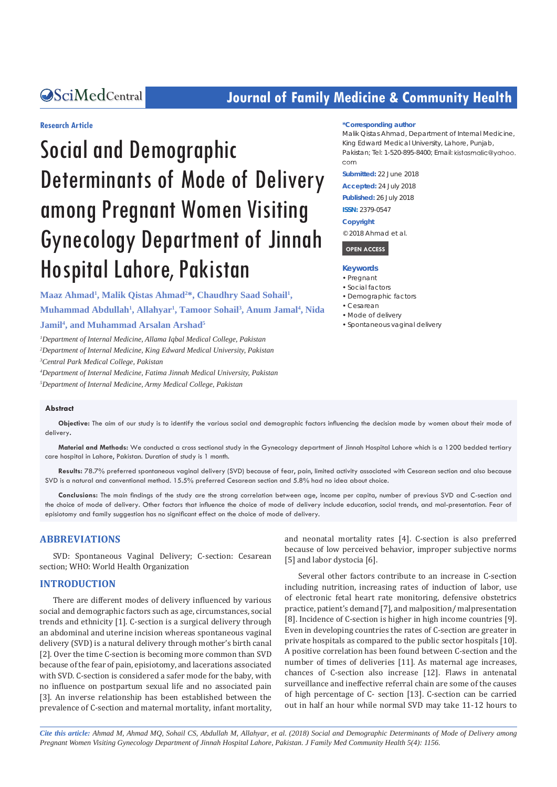## **CALCERT CONFIDENTIAL CONTROLLER COMMUNITY Health**

#### **Research Article**

# Social and Demographic Determinants of Mode of Delivery among Pregnant Women Visiting Gynecology Department of Jinnah Hospital Lahore, Pakistan

Maaz Ahmad<sup>1</sup>, Malik Qistas Ahmad<sup>2\*</sup>, Chaudhry Saad Sohail<sup>1</sup>,

**Muhammad Abdullah1 , Allahyar1 , Tamoor Sohail3 , Anum Jamal4 , Nida Jamil4 , and Muhammad Arsalan Arshad5**

*1 Department of Internal Medicine, Allama Iqbal Medical College, Pakistan 2 Department of Internal Medicine, King Edward Medical University, Pakistan 3 Central Park Medical College, Pakistan*

*4 Department of Internal Medicine, Fatima Jinnah Medical University, Pakistan*

*5 Department of Internal Medicine, Army Medical College, Pakistan*

#### **\*Corresponding author**

Malik Qistas Ahmad, Department of Internal Medicine, King Edward Medical University, Lahore, Punjab, Pakistan: Tel: 1-520-895-8400; Email: kistasmalic@yahoo. com

**Submitted:** 22 June 2018

**Accepted:** 24 July 2018

**Published:** 26 July 2018

**ISSN:** 2379-0547

#### **Copyright**

© 2018 Ahmad et al.

 **OPEN ACCESS** 

#### **Keywords**

- • Pregnant
- • Social factors
- • Demographic factors
- • Cesarean
- Mode of delivery
- • Spontaneous vaginal delivery

#### **Abstract**

**Objective:** The aim of our study is to identify the various social and demographic factors influencing the decision made by women about their mode of delivery**.**

**Material and Methods:** We conducted a cross sectional study in the Gynecology department of Jinnah Hospital Lahore which is a 1200 bedded tertiary care hospital in Lahore, Pakistan. Duration of study is 1 month.

**Results:** 78.7% preferred spontaneous vaginal delivery (SVD) because of fear, pain, limited activity associated with Cesarean section and also because SVD is a natural and conventional method. 15.5% preferred Cesarean section and 5.8% had no idea about choice.

**Conclusions:** The main findings of the study are the strong correlation between age, income per capita, number of previous SVD and C-section and the choice of mode of delivery. Other factors that influence the choice of mode of delivery include education, social trends, and mal-presentation. Fear of episiotomy and family suggestion has no significant effect on the choice of mode of delivery.

#### **ABBREVIATIONS**

SVD: Spontaneous Vaginal Delivery; C-section: Cesarean section; WHO: World Health Organization

#### **INTRODUCTION**

There are different modes of delivery influenced by various social and demographic factors such as age, circumstances, social trends and ethnicity [1]. C-section is a surgical delivery through an abdominal and uterine incision whereas spontaneous vaginal delivery (SVD) is a natural delivery through mother's birth canal [2]. Over the time C-section is becoming more common than SVD because of the fear of pain, episiotomy, and lacerations associated with SVD. C-section is considered a safer mode for the baby, with no influence on postpartum sexual life and no associated pain [3]. An inverse relationship has been established between the prevalence of C-section and maternal mortality, infant mortality, and neonatal mortality rates [4]. C-section is also preferred because of low perceived behavior, improper subjective norms [5] and labor dystocia [6].

Several other factors contribute to an increase in C-section including nutrition, increasing rates of induction of labor, use of electronic fetal heart rate monitoring, defensive obstetrics practice, patient's demand [7], and malposition/ malpresentation [8]. Incidence of C-section is higher in high income countries [9]. Even in developing countries the rates of C-section are greater in private hospitals as compared to the public sector hospitals [10]. A positive correlation has been found between C-section and the number of times of deliveries [11]. As maternal age increases, chances of C-section also increase [12]. Flaws in antenatal surveillance and ineffective referral chain are some of the causes of high percentage of C- section [13]. C-section can be carried out in half an hour while normal SVD may take 11-12 hours to

*Cite this article: Ahmad M, Ahmad MQ, Sohail CS, Abdullah M, Allahyar, et al. (2018) Social and Demographic Determinants of Mode of Delivery among Pregnant Women Visiting Gynecology Department of Jinnah Hospital Lahore, Pakistan. J Family Med Community Health 5(4): 1156.*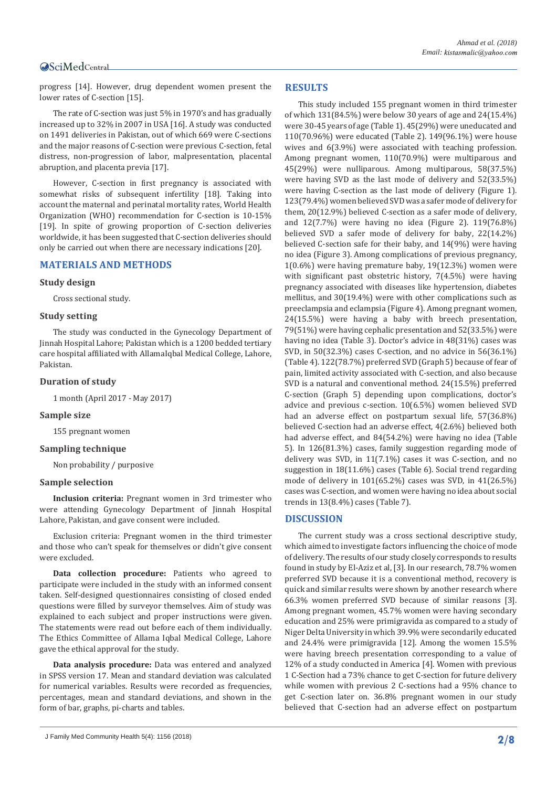progress [14]. However, drug dependent women present the lower rates of C-section [15].

The rate of C-section was just 5% in 1970's and has gradually increased up to 32% in 2007 in USA [16]. A study was conducted on 1491 deliveries in Pakistan, out of which 669 were C-sections and the major reasons of C-section were previous C-section, fetal distress, non-progression of labor, malpresentation, placental abruption, and placenta previa [17].

However, C-section in first pregnancy is associated with somewhat risks of subsequent infertility [18]. Taking into account the maternal and perinatal mortality rates, World Health Organization (WHO) recommendation for C-section is 10-15% [19]. In spite of growing proportion of C-section deliveries worldwide, it has been suggested that C-section deliveries should only be carried out when there are necessary indications [20].

#### **MATERIALS AND METHODS**

#### **Study design**

Cross sectional study.

#### **Study setting**

The study was conducted in the Gynecology Department of Jinnah Hospital Lahore; Pakistan which is a 1200 bedded tertiary care hospital affiliated with AllamaIqbal Medical College, Lahore, Pakistan.

#### **Duration of study**

1 month (April 2017 - May 2017)

#### **Sample size**

155 pregnant women

#### **Sampling technique**

Non probability / purposive

#### **Sample selection**

**Inclusion criteria:** Pregnant women in 3rd trimester who were attending Gynecology Department of Jinnah Hospital Lahore, Pakistan, and gave consent were included.

Exclusion criteria: Pregnant women in the third trimester and those who can't speak for themselves or didn't give consent were excluded.

**Data collection procedure:** Patients who agreed to participate were included in the study with an informed consent taken. Self-designed questionnaires consisting of closed ended questions were filled by surveyor themselves. Aim of study was explained to each subject and proper instructions were given. The statements were read out before each of them individually. The Ethics Committee of Allama Iqbal Medical College, Lahore gave the ethical approval for the study.

**Data analysis procedure:** Data was entered and analyzed in SPSS version 17. Mean and standard deviation was calculated for numerical variables. Results were recorded as frequencies, percentages, mean and standard deviations, and shown in the form of bar, graphs, pi-charts and tables.

#### **RESULTS**

This study included 155 pregnant women in third trimester of which 131(84.5%) were below 30 years of age and 24(15.4%) were 30-45 years of age (Table 1). 45(29%) were uneducated and 110(70.96%) were educated (Table 2). 149(96.1%) were house wives and 6(3.9%) were associated with teaching profession. Among pregnant women, 110(70.9%) were multiparous and 45(29%) were nulliparous. Among multiparous, 58(37.5%) were having SVD as the last mode of delivery and 52(33.5%) were having C-section as the last mode of delivery (Figure 1). 123(79.4%) women believed SVD was a safer mode of delivery for them, 20(12.9%) believed C-section as a safer mode of delivery, and 12(7.7%) were having no idea (Figure 2). 119(76.8%) believed SVD a safer mode of delivery for baby, 22(14.2%) believed C-section safe for their baby, and 14(9%) were having no idea (Figure 3). Among complications of previous pregnancy, 1(0.6%) were having premature baby, 19(12.3%) women were with significant past obstetric history, 7(4.5%) were having pregnancy associated with diseases like hypertension, diabetes mellitus, and 30(19.4%) were with other complications such as preeclampsia and eclampsia (Figure 4). Among pregnant women, 24(15.5%) were having a baby with breech presentation, 79(51%) were having cephalic presentation and 52(33.5%) were having no idea (Table 3). Doctor's advice in 48(31%) cases was SVD, in 50(32.3%) cases C-section, and no advice in 56(36.1%) (Table 4). 122(78.7%) preferred SVD (Graph 5) because of fear of pain, limited activity associated with C-section, and also because SVD is a natural and conventional method. 24(15.5%) preferred C-section (Graph 5) depending upon complications, doctor's advice and previous c-section. 10(6.5%) women believed SVD had an adverse effect on postpartum sexual life, 57(36.8%) believed C-section had an adverse effect, 4(2.6%) believed both had adverse effect, and 84(54.2%) were having no idea (Table 5). In 126(81.3%) cases, family suggestion regarding mode of delivery was SVD, in 11(7.1%) cases it was C-section, and no suggestion in 18(11.6%) cases (Table 6). Social trend regarding mode of delivery in 101(65.2%) cases was SVD, in 41(26.5%) cases was C-section, and women were having no idea about social trends in 13(8.4%) cases (Table 7).

#### **DISCUSSION**

The current study was a cross sectional descriptive study, which aimed to investigate factors influencing the choice of mode of delivery. The results of our study closely corresponds to results found in study by El-Aziz et al, [3]. In our research, 78.7% women preferred SVD because it is a conventional method, recovery is quick and similar results were shown by another research where 66.3% women preferred SVD because of similar reasons [3]. Among pregnant women, 45.7% women were having secondary education and 25% were primigravida as compared to a study of Niger Delta University in which 39.9% were secondarily educated and 24.4% were primigravida [12]. Among the women 15.5% were having breech presentation corresponding to a value of 12% of a study conducted in America [4]. Women with previous 1 C-Section had a 73% chance to get C-section for future delivery while women with previous 2 C-sections had a 95% chance to get C-section later on. 36.8% pregnant women in our study believed that C-section had an adverse effect on postpartum

J Family Med Community Health 5(4): 1156 (2018) **2/8**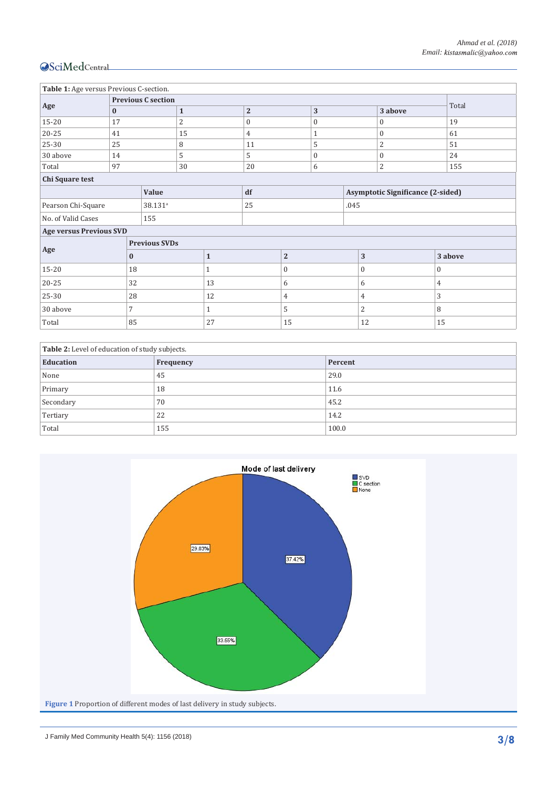| Table 1: Age versus Previous C-section. |          |                           |                |                |                |                |                                          |                |                |              |
|-----------------------------------------|----------|---------------------------|----------------|----------------|----------------|----------------|------------------------------------------|----------------|----------------|--------------|
| Age                                     |          | <b>Previous C section</b> |                |                |                |                |                                          |                | Total          |              |
|                                         | $\bf{0}$ | $\mathbf{1}$              |                |                | $\overline{2}$ |                | 3                                        |                | 3 above        |              |
| 15-20                                   | 17       |                           | $\overline{2}$ | $\overline{0}$ |                | $\mathbf{0}$   |                                          | $\mathbf{0}$   | 19             |              |
| $20 - 25$                               | 41       |                           | 15             | 4              |                |                | $\mathbf{1}$                             |                | $\mathbf{0}$   | 61           |
| 25-30                                   | 25       |                           | 8              | 11             |                | 5              |                                          | $\overline{2}$ | 51             |              |
| 30 above                                | 14       |                           | 5              | 5              |                |                | $\mathbf{0}$                             |                | $\mathbf{0}$   | 24           |
| Total                                   | 97       |                           | 30             | 20             |                |                | 6                                        |                | $\overline{2}$ | 155          |
| Chi Square test                         |          |                           |                |                |                |                |                                          |                |                |              |
|                                         |          |                           | Value          |                | df             |                | <b>Asymptotic Significance (2-sided)</b> |                |                |              |
| Pearson Chi-Square                      |          | 38.131 <sup>a</sup>       |                | 25             |                | .045           |                                          |                |                |              |
| No. of Valid Cases                      |          | 155                       |                |                |                |                |                                          |                |                |              |
| <b>Age versus Previous SVD</b>          |          |                           |                |                |                |                |                                          |                |                |              |
| <b>Previous SVDs</b>                    |          |                           |                |                |                |                |                                          |                |                |              |
| Age                                     | $\bf{0}$ |                           |                | $\mathbf{1}$   |                | $\overline{2}$ |                                          | 3              |                | 3 above      |
| 15-20<br>18                             |          |                           |                | 1              |                | $\mathbf{0}$   |                                          | $\overline{0}$ |                | $\mathbf{0}$ |
| 20-25<br>32                             |          |                           | 13             |                | 6              |                | 6                                        |                | $\overline{4}$ |              |
| 25-30                                   | 28       |                           |                | 12             |                | 4              |                                          | $\overline{4}$ |                | 3            |
| 30 above<br>$\overline{7}$              |          |                           | 1              |                | 5              |                | 2                                        |                | 8              |              |
| 85<br>Total                             |          |                           | 27             |                | 15             |                | 12                                       |                | 15             |              |

| Table 2: Level of education of study subjects. |           |         |  |  |
|------------------------------------------------|-----------|---------|--|--|
| <b>Education</b>                               | Frequency | Percent |  |  |
| None                                           | 45        | 29.0    |  |  |
| Primary                                        | 18        | 11.6    |  |  |
| Secondary                                      | 70        | 45.2    |  |  |
| Tertiary                                       | 22        | 14.2    |  |  |
| Total                                          | 155       | 100.0   |  |  |

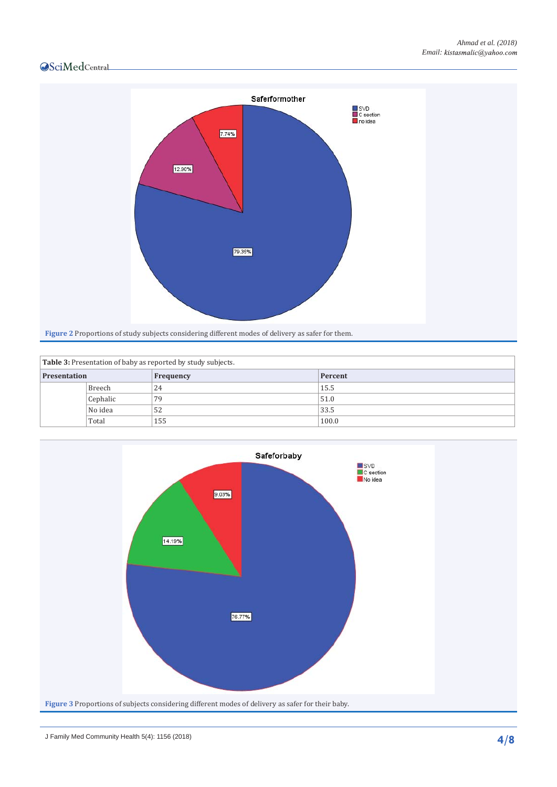

| Table 3: Presentation of baby as reported by study subjects. |          |           |         |  |  |
|--------------------------------------------------------------|----------|-----------|---------|--|--|
| <b>Presentation</b>                                          |          | Frequency | Percent |  |  |
|                                                              | Breech   | 24        | 15.5    |  |  |
|                                                              | Cephalic | 79        | 51.0    |  |  |
|                                                              | No idea  | 52        | 33.5    |  |  |
|                                                              | Total    | 155       | 100.0   |  |  |

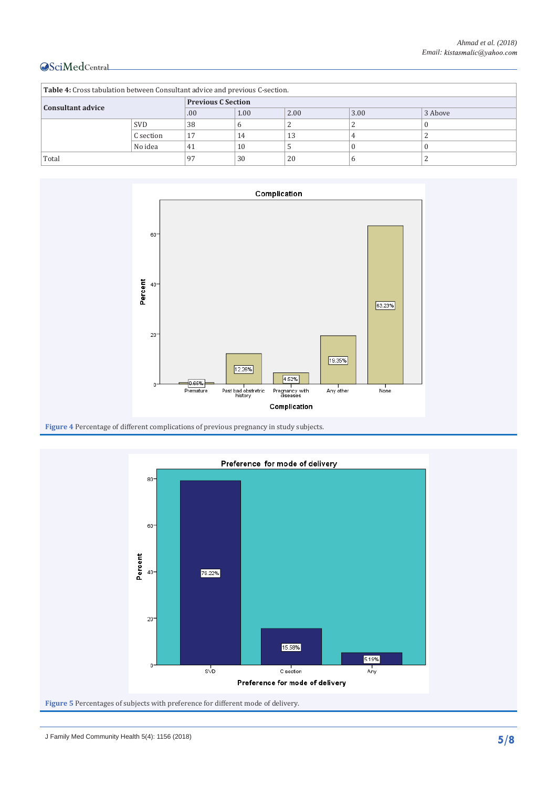| Table 4: Cross tabulation between Consultant advice and previous C-section. |            |                           |      |      |      |         |
|-----------------------------------------------------------------------------|------------|---------------------------|------|------|------|---------|
| <b>Consultant advice</b>                                                    |            | <b>Previous C Section</b> |      |      |      |         |
|                                                                             |            | .00.                      | 1.00 | 2.00 | 3.00 | 3 Above |
|                                                                             | <b>SVD</b> | 38                        | h    |      |      |         |
|                                                                             | C section  | 17                        | 14   | 13   |      |         |
|                                                                             | No idea    | 41                        | 10   |      |      |         |
| Total                                                                       |            | 97                        | 30   | 20   | h    |         |





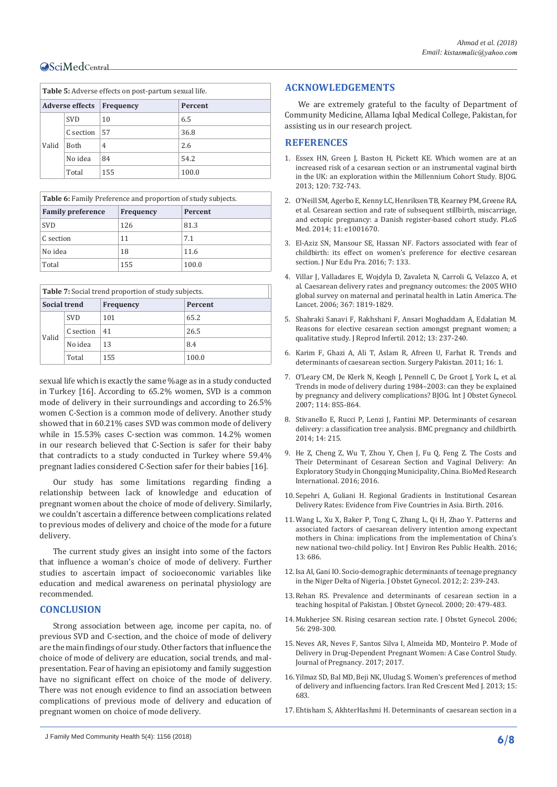| <b>Table 5:</b> Adverse effects on post-partum sexual life. |             |           |         |  |
|-------------------------------------------------------------|-------------|-----------|---------|--|
| <b>Adverse effects</b>                                      |             | Frequency | Percent |  |
| Valid                                                       | <b>SVD</b>  | 10        | 6.5     |  |
|                                                             | C section   | 57        | 36.8    |  |
|                                                             | <b>Both</b> | 4         | 2.6     |  |
|                                                             | No idea     | 84        | 54.2    |  |
|                                                             | Total       | 155       | 100.0   |  |

| <b>Table 6:</b> Family Preference and proportion of study subjects. |                  |         |  |  |
|---------------------------------------------------------------------|------------------|---------|--|--|
| <b>Family preference</b>                                            | <b>Frequency</b> | Percent |  |  |
| <b>SVD</b>                                                          | 126              | 81.3    |  |  |
| C section                                                           | 11               | 7.1     |  |  |
| No idea                                                             | 18               | 11.6    |  |  |
| Total                                                               | 155              | 100.0   |  |  |

| <b>Table 7:</b> Social trend proportion of study subjects. |            |                  |         |  |  |
|------------------------------------------------------------|------------|------------------|---------|--|--|
| <b>Social trend</b>                                        |            | <b>Frequency</b> | Percent |  |  |
| Valid                                                      | <b>SVD</b> | 101              | 65.2    |  |  |
|                                                            | C section  | 41               | 26.5    |  |  |
|                                                            | No idea    | 13               | 8.4     |  |  |
|                                                            | Total      | 155              | 100.0   |  |  |

sexual life which is exactly the same %age as in a study conducted in Turkey [16]. According to 65.2% women, SVD is a common mode of delivery in their surroundings and according to 26.5% women C-Section is a common mode of delivery. Another study showed that in 60.21% cases SVD was common mode of delivery while in 15.53% cases C-section was common. 14.2% women in our research believed that C-Section is safer for their baby that contradicts to a study conducted in Turkey where 59.4% pregnant ladies considered C-Section safer for their babies [16].

Our study has some limitations regarding finding a relationship between lack of knowledge and education of pregnant women about the choice of mode of delivery. Similarly, we couldn't ascertain a difference between complications related to previous modes of delivery and choice of the mode for a future delivery.

The current study gives an insight into some of the factors that influence a woman's choice of mode of delivery. Further studies to ascertain impact of socioeconomic variables like education and medical awareness on perinatal physiology are recommended.

#### **CONCLUSION**

Strong association between age, income per capita, no. of previous SVD and C-section, and the choice of mode of delivery are the main findings of our study. Other factors that influence the choice of mode of delivery are education, social trends, and malpresentation. Fear of having an episiotomy and family suggestion have no significant effect on choice of the mode of delivery. There was not enough evidence to find an association between complications of previous mode of delivery and education of pregnant women on choice of mode delivery.

#### **ACKNOWLEDGEMENTS**

We are extremely grateful to the faculty of Department of Community Medicine, Allama Iqbal Medical College, Pakistan, for assisting us in our research project.

#### **REFERENCES**

- 1. [Essex HN, Green J, Baston H, Pickett KE. Which women are at an](https://www.ncbi.nlm.nih.gov/pubmed/23510385)  [increased risk of a cesarean section or an instrumental vaginal birth](https://www.ncbi.nlm.nih.gov/pubmed/23510385)  [in the UK: an exploration within the Millennium Cohort Study. BJOG.](https://www.ncbi.nlm.nih.gov/pubmed/23510385)  [2013; 120: 732-743.](https://www.ncbi.nlm.nih.gov/pubmed/23510385)
- 2. [O'Neill SM, Agerbo E, Kenny LC, Henriksen TB, Kearney PM, Greene RA,](https://www.ncbi.nlm.nih.gov/pubmed/24983970)  [et al. Cesarean section and rate of subsequent stillbirth, miscarriage,](https://www.ncbi.nlm.nih.gov/pubmed/24983970)  [and ectopic pregnancy: a Danish register-based cohort study. PLoS](https://www.ncbi.nlm.nih.gov/pubmed/24983970)  [Med. 2014; 11: e1001670.](https://www.ncbi.nlm.nih.gov/pubmed/24983970)
- 3. [El-Aziz SN, Mansour SE, Hassan NF. Factors associated with fear of](http://www.sciedu.ca/journal/index.php/jnep/article/view/9809)  [childbirth: its effect on women's preference for elective cesarean](http://www.sciedu.ca/journal/index.php/jnep/article/view/9809)  [section. J Nur Edu Pra. 2016; 7: 133.](http://www.sciedu.ca/journal/index.php/jnep/article/view/9809)
- 4. [Villar J, Valladares E, Wojdyla D, Zavaleta N, Carroli G, Velazco A, et](https://www.ncbi.nlm.nih.gov/pubmed/16753484)  [al. Caesarean delivery rates and pregnancy outcomes: the 2005 WHO](https://www.ncbi.nlm.nih.gov/pubmed/16753484)  [global survey on maternal and perinatal health in Latin America. The](https://www.ncbi.nlm.nih.gov/pubmed/16753484)  [Lancet. 2006; 367: 1819-1829.](https://www.ncbi.nlm.nih.gov/pubmed/16753484)
- 5. [Shahraki Sanavi F, Rakhshani F, Ansari Moghaddam A, Edalatian M.](https://www.ncbi.nlm.nih.gov/pubmed/23926552)  [Reasons for elective cesarean section amongst pregnant women; a](https://www.ncbi.nlm.nih.gov/pubmed/23926552)  [qualitative study. J Reprod Infertil. 2012; 13: 237-240.](https://www.ncbi.nlm.nih.gov/pubmed/23926552)
- 6. [Karim F, Ghazi A, Ali T, Aslam R, Afreen U, Farhat R. Trends and](https://www.researchgate.net/publication/288008692_Trends_and_determinants_of_caesarean_section)  [determinants of caesarean section. Surgery Pakistan. 2011; 16: 1.](https://www.researchgate.net/publication/288008692_Trends_and_determinants_of_caesarean_section)
- 7. [O'Leary CM, De Klerk N, Keogh J, Pennell C, De Groot J, York L, et al.](https://www.ncbi.nlm.nih.gov/pubmed/17501962)  [Trends in mode of delivery during 1984–2003: can they be explained](https://www.ncbi.nlm.nih.gov/pubmed/17501962)  [by pregnancy and delivery complications? BJOG. Int J Obstet Gynecol.](https://www.ncbi.nlm.nih.gov/pubmed/17501962)  [2007; 114: 855-864.](https://www.ncbi.nlm.nih.gov/pubmed/17501962)
- 8. [Stivanello E, Rucci P, Lenzi J, Fantini MP. Determinants of cesarean](https://bmcpregnancychildbirth.biomedcentral.com/articles/10.1186/1471-2393-14-215)  [delivery: a classification tree analysis. BMC pregnancy and childbirth.](https://bmcpregnancychildbirth.biomedcentral.com/articles/10.1186/1471-2393-14-215)  [2014; 14: 215.](https://bmcpregnancychildbirth.biomedcentral.com/articles/10.1186/1471-2393-14-215)
- 9. [He Z, Cheng Z, Wu T, Zhou Y, Chen J, Fu Q, Feng Z. The Costs and](https://www.hindawi.com/journals/bmri/2016/5685261/)  [Their Determinant of Cesarean Section and Vaginal Delivery: An](https://www.hindawi.com/journals/bmri/2016/5685261/)  [Exploratory Study in Chongqing Municipality, China. BioMed Research](https://www.hindawi.com/journals/bmri/2016/5685261/)  [International. 2016; 2016.](https://www.hindawi.com/journals/bmri/2016/5685261/)
- 10.[Sepehri A, Guliani H. Regional Gradients in Institutional Cesarean](https://www.ncbi.nlm.nih.gov/pubmed/27874197)  [Delivery Rates: Evidence from Five Countries in Asia. Birth. 2016.](https://www.ncbi.nlm.nih.gov/pubmed/27874197)
- 11.[Wang L, Xu X, Baker P, Tong C, Zhang L, Qi H, Zhao Y. Patterns and](https://www.ncbi.nlm.nih.gov/pubmed/27399752)  [associated factors of caesarean delivery intention among expectant](https://www.ncbi.nlm.nih.gov/pubmed/27399752)  [mothers in China: implications from the implementation of China's](https://www.ncbi.nlm.nih.gov/pubmed/27399752)  [new national two-child policy. Int J Environ Res Public Health. 2016;](https://www.ncbi.nlm.nih.gov/pubmed/27399752)  [13: 686.](https://www.ncbi.nlm.nih.gov/pubmed/27399752)
- 12.[Isa AI, Gani IO. Socio-demographic determinants of teenage pregnancy](https://www.scirp.org/journal/PaperInformation.aspx?PaperID=22266)  [in the Niger Delta of Nigeria. J Obstet Gynecol. 2012; 2: 239-243.](https://www.scirp.org/journal/PaperInformation.aspx?PaperID=22266)
- 13.[Rehan RS. Prevalence and determinants of cesarean section in a](https://www.ncbi.nlm.nih.gov/pubmed/15512631)  [teaching hospital of Pakistan. J Obstet Gynecol. 2000; 20: 479-483.](https://www.ncbi.nlm.nih.gov/pubmed/15512631)
- 14.[Mukherjee SN. Rising cesarean section rate. J Obstet Gynecol. 2006;](http://medind.nic.in/jaq/t06/i4/jaqt06i4p298.pdf)  [56: 298-300.](http://medind.nic.in/jaq/t06/i4/jaqt06i4p298.pdf)
- 15.[Neves AR, Neves F, Santos Silva I, Almeida MD, Monteiro P. Mode of](https://www.hindawi.com/journals/jp/2017/1630967/)  [Delivery in Drug-Dependent Pregnant Women: A Case Control Study.](https://www.hindawi.com/journals/jp/2017/1630967/)  [Journal of Pregnancy. 2017; 2017.](https://www.hindawi.com/journals/jp/2017/1630967/)
- 16.[Yilmaz SD, Bal MD, Beji NK, Uludag S. Women's preferences of method](https://www.ncbi.nlm.nih.gov/pmc/articles/PMC3918192/)  [of delivery and influencing factors. Iran Red Crescent Med J. 2013; 15:](https://www.ncbi.nlm.nih.gov/pmc/articles/PMC3918192/)  [683.](https://www.ncbi.nlm.nih.gov/pmc/articles/PMC3918192/)
- 17.[Ehtisham S, AkhterHashmi H. Determinants of caesarean section in a](https://www.ncbi.nlm.nih.gov/pubmed/25823160)

J Family Med Community Health 5(4): 1156 (2018) **6/8**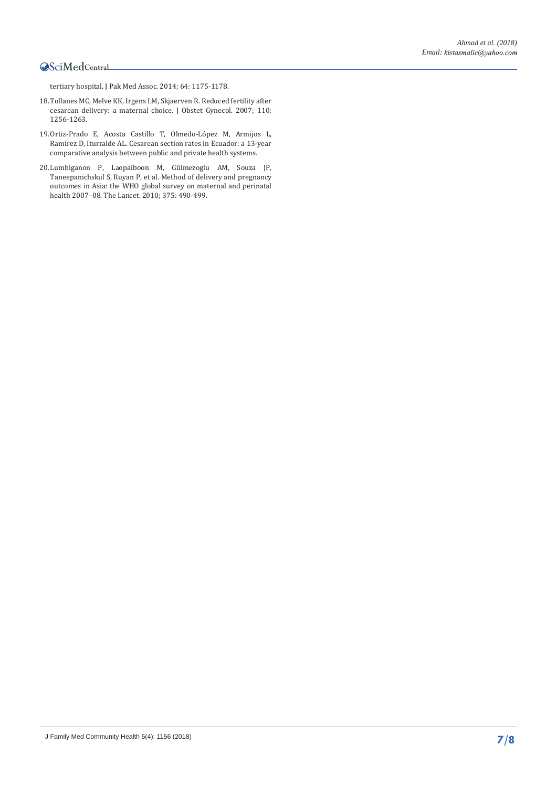[tertiary hospital. J Pak Med Assoc. 2014; 64: 1175-1178.](https://www.ncbi.nlm.nih.gov/pubmed/25823160)

- 18.[Tollanes MC, Melve KK, Irgens LM, Skjaerven R. Reduced fertility after](https://journals.lww.com/greenjournal/fulltext/2007/12000/reduced_fertility_after_cesarean_delivery__a.9.aspx)  [cesarean delivery: a maternal choice. J Obstet Gynecol. 2007; 110:](https://journals.lww.com/greenjournal/fulltext/2007/12000/reduced_fertility_after_cesarean_delivery__a.9.aspx)  [1256-1263.](https://journals.lww.com/greenjournal/fulltext/2007/12000/reduced_fertility_after_cesarean_delivery__a.9.aspx)
- 19.[Ortiz-Prado E, Acosta Castillo T, Olmedo-Ló](https://pdfs.semanticscholar.org/914e/bb2a0184486f4dc663a91283652deba26459.pdf)pez M, Armijos L, [Ramírez D, Iturralde AL. Cesarean section rates in Ecuador: a 13-year](https://pdfs.semanticscholar.org/914e/bb2a0184486f4dc663a91283652deba26459.pdf)  [comparative analysis between public and private health systems.](https://pdfs.semanticscholar.org/914e/bb2a0184486f4dc663a91283652deba26459.pdf)
- 20.[Lumbiganon P, Laopaiboon M, G](https://www.ncbi.nlm.nih.gov/pubmed/20071021)ülmezoglu AM, Souza JP, [Taneepanichskul S, Ruyan P, et al. Method of delivery and pregnancy](https://www.ncbi.nlm.nih.gov/pubmed/20071021)  [outcomes in Asia: the WHO global survey on maternal and perinatal](https://www.ncbi.nlm.nih.gov/pubmed/20071021)  [health 2007–08. The Lancet. 2010; 375: 490-499.](https://www.ncbi.nlm.nih.gov/pubmed/20071021)